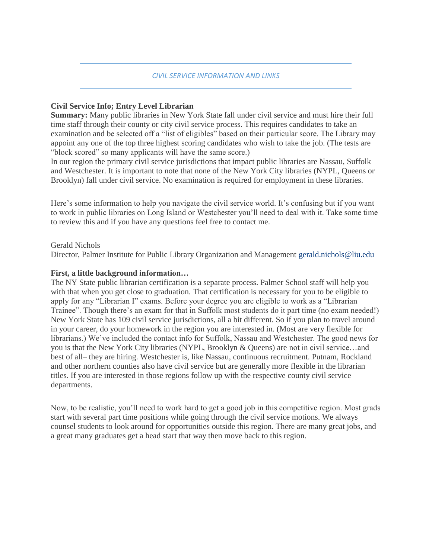#### *CIVIL SERVICE INFORMATION AND LINKS*

#### **Civil Service Info; Entry Level Librarian**

**Summary:** Many public libraries in New York State fall under civil service and must hire their full time staff through their county or city civil service process. This requires candidates to take an examination and be selected off a "list of eligibles" based on their particular score. The Library may appoint any one of the top three highest scoring candidates who wish to take the job. (The tests are "block scored" so many applicants will have the same score.)

In our region the primary civil service jurisdictions that impact public libraries are Nassau, Suffolk and Westchester. It is important to note that none of the New York City libraries (NYPL, Queens or Brooklyn) fall under civil service. No examination is required for employment in these libraries.

Here's some information to help you navigate the civil service world. It's confusing but if you want to work in public libraries on Long Island or Westchester you'll need to deal with it. Take some time to review this and if you have any questions feel free to contact me.

#### Gerald Nichols

Director, Palmer Institute for Public Library Organization and Management [gerald.nichols@liu.edu](http://gerald.nichols@liu.edu/)

### **First, a little background information…**

The NY State public librarian certification is a separate process. Palmer School staff will help you with that when you get close to graduation. That certification is necessary for you to be eligible to apply for any "Librarian I" exams. Before your degree you are eligible to work as a "Librarian Trainee". Though there's an exam for that in Suffolk most students do it part time (no exam needed!) New York State has 109 civil service jurisdictions, all a bit different. So if you plan to travel around in your career, do your homework in the region you are interested in. (Most are very flexible for librarians.) We've included the contact info for Suffolk, Nassau and Westchester. The good news for you is that the New York City libraries (NYPL, Brooklyn & Queens) are not in civil service…and best of all– they are hiring. Westchester is, like Nassau, continuous recruitment. Putnam, Rockland and other northern counties also have civil service but are generally more flexible in the librarian titles. If you are interested in those regions follow up with the respective county civil service departments.

Now, to be realistic, you'll need to work hard to get a good job in this competitive region. Most grads start with several part time positions while going through the civil service motions. We always counsel students to look around for opportunities outside this region. There are many great jobs, and a great many graduates get a head start that way then move back to this region.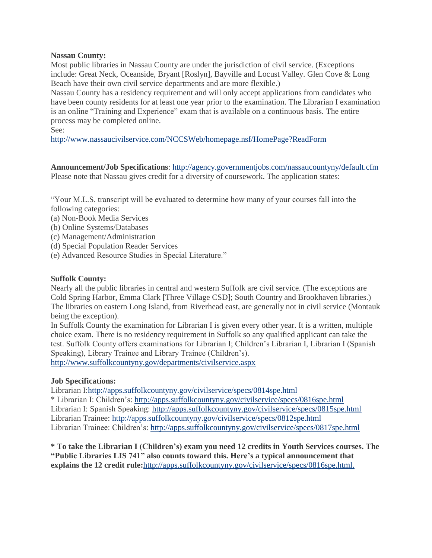#### **Nassau County:**

Most public libraries in Nassau County are under the jurisdiction of civil service. (Exceptions include: Great Neck, Oceanside, Bryant [Roslyn], Bayville and Locust Valley. Glen Cove & Long Beach have their own civil service departments and are more flexible.)

Nassau County has a residency requirement and will only accept applications from candidates who have been county residents for at least one year prior to the examination. The Librarian I examination is an online "Training and Experience" exam that is available on a continuous basis. The entire process may be completed online.

See:

<http://www.nassaucivilservice.com/NCCSWeb/homepage.nsf/HomePage?ReadForm>

**Announcement/Job Specifications**: <http://agency.governmentjobs.com/nassaucountyny/default.cfm> Please note that Nassau gives credit for a diversity of coursework. The application states:

"Your M.L.S. transcript will be evaluated to determine how many of your courses fall into the following categories:

- (a) Non-Book Media Services
- (b) Online Systems/Databases
- (c) Management/Administration
- (d) Special Population Reader Services
- (e) Advanced Resource Studies in Special Literature."

#### **Suffolk County:**

Nearly all the public libraries in central and western Suffolk are civil service. (The exceptions are Cold Spring Harbor, Emma Clark [Three Village CSD]; South Country and Brookhaven libraries.) The libraries on eastern Long Island, from Riverhead east, are generally not in civil service (Montauk being the exception).

In Suffolk County the examination for Librarian I is given every other year. It is a written, multiple choice exam. There is no residency requirement in Suffolk so any qualified applicant can take the test. Suffolk County offers examinations for Librarian I; Children's Librarian I, Librarian I (Spanish Speaking), Library Trainee and Library Trainee (Children's).

<http://www.suffolkcountyny.gov/departments/civilservice.aspx>

#### **Job Specifications:**

Librarian I[:http://apps.suffolkcountyny.gov/civilservice/specs/0814spe.html](http://apps.suffolkcountyny.gov/civilservice/specs/0814spe.html) \* Librarian I: Children's: <http://apps.suffolkcountyny.gov/civilservice/specs/0816spe.html> Librarian I: Spanish Speaking: <http://apps.suffolkcountyny.gov/civilservice/specs/0815spe.html> Librarian Trainee: <http://apps.suffolkcountyny.gov/civilservice/specs/0812spe.html> Librarian Trainee: Children's: <http://apps.suffolkcountyny.gov/civilservice/specs/0817spe.html>

**\* To take the Librarian I (Children's) exam you need 12 credits in Youth Services courses. The "Public Libraries LIS 741" also counts toward this. Here's a typical announcement that explains the 12 credit rule:**<http://apps.suffolkcountyny.gov/civilservice/specs/0816spe.html.>